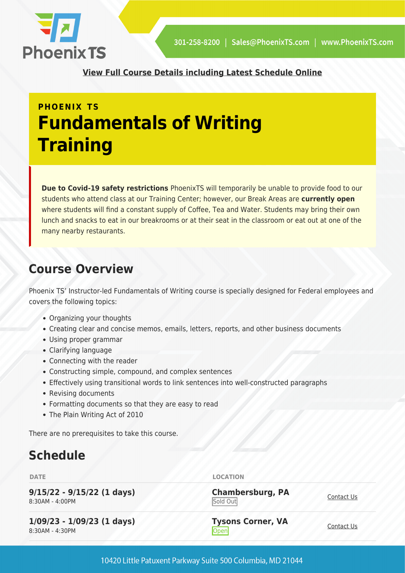

**[View Full Course Details including Latest Schedule Online](https://phoenixts.com/training-courses/fundamentals-of-writing/)**

# **PHOENIX TS Fundamentals of Writing Training**

**Due to Covid-19 safety restrictions** PhoenixTS will temporarily be unable to provide food to our students who attend class at our Training Center; however, our Break Areas are **currently open** where students will find a constant supply of Coffee, Tea and Water. Students may bring their own lunch and snacks to eat in our breakrooms or at their seat in the classroom or eat out at one of the many nearby restaurants.

# **Course Overview**

Phoenix TS' Instructor-led Fundamentals of Writing course is specially designed for Federal employees and covers the following topics:

- Organizing your thoughts
- Creating clear and concise memos, emails, letters, reports, and other business documents
- Using proper grammar
- Clarifying language
- Connecting with the reader
- Constructing simple, compound, and complex sentences
- Effectively using transitional words to link sentences into well-constructed paragraphs
- Revising documents
- Formatting documents so that they are easy to read
- The Plain Writing Act of 2010

There are no prerequisites to take this course.

# **Schedule**

**9/15/22 - 9/15/22 (1 days)** 8:30AM - 4:00PM

**1/09/23 - 1/09/23 (1 days)** 8:30AM - 4:30PM

**DATE LOCATION** 

**Chambersburg, PA** Sold Out

**Tysons Corner, VA** <u>Open</u> [Contact Us](https://phoenixts.com/schedule/more-info/?class=26725)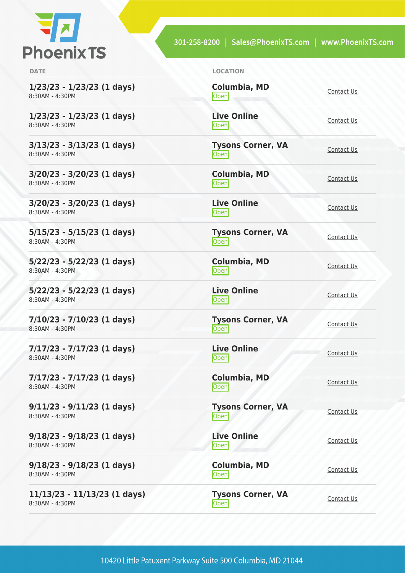

301-258-8200 | Sales@PhoenixTS.com | www.PhoenixTS.com

**1/23/23 - 1/23/23 (1 days)** 8:30AM - 4:30PM

**1/23/23 - 1/23/23 (1 days)** 8:30AM - 4:30PM

**3/13/23 - 3/13/23 (1 days)** 8:30AM - 4:30PM

**3/20/23 - 3/20/23 (1 days)** 8:30AM - 4:30PM

**3/20/23 - 3/20/23 (1 days)** 8:30AM - 4:30PM

**5/15/23 - 5/15/23 (1 days)** 8:30AM - 4:30PM

**5/22/23 - 5/22/23 (1 days)** 8:30AM - 4:30PM

**5/22/23 - 5/22/23 (1 days)** 8:30AM - 4:30PM

**7/10/23 - 7/10/23 (1 days)** 8:30AM - 4:30PM

**7/17/23 - 7/17/23 (1 days)** 8:30AM - 4:30PM

**7/17/23 - 7/17/23 (1 days)** 8:30AM - 4:30PM

**9/11/23 - 9/11/23 (1 days)** 8:30AM - 4:30PM

**9/18/23 - 9/18/23 (1 days)** 8:30AM - 4:30PM

**9/18/23 - 9/18/23 (1 days)** 8:30AM - 4:30PM

**11/13/23 - 11/13/23 (1 days)** 8:30AM - 4:30PM

**DATE LOCATION**

**Columbia, MD** [Contact Us](https://phoenixts.com/schedule/more-info/?class=26738)<br>
Open **Live Online** <u>Open</u> [Contact Us](https://phoenixts.com/schedule/more-info/?class=26741) **Tysons Corner, VA** <u>Open</u> [Contact Us](https://phoenixts.com/schedule/more-info/?class=26726) Contact Us **Columbia, MD** [Contact Us](https://phoenixts.com/schedule/more-info/?class=26739)<br>
Open **Live Online** <u>[Contact Us](https://phoenixts.com/schedule/more-info/?class=26742)</u> **Tysons Corner, VA**

<u>Open</u> [Contact Us](https://phoenixts.com/schedule/more-info/?class=26727) Contact Us

**Columbia, MD [Contact Us](https://phoenixts.com/schedule/more-info/?class=26740)**<br>Open Contact Us

**Live Online** <u>Open</u> [Contact Us](https://phoenixts.com/schedule/more-info/?class=26743)

**Tysons Corner, VA Open** [Contact Us](https://phoenixts.com/schedule/more-info/?class=26728)

**Live Online** <u>Open</u> [Contact Us](https://phoenixts.com/schedule/more-info/?class=26733)

**Columbia, MD** [Contact Us](https://phoenixts.com/schedule/more-info/?class=26734)<br>
Open

**Tysons Corner, VA Open** [Contact Us](https://phoenixts.com/schedule/more-info/?class=26729)

**Live Online [Contact Us](https://phoenixts.com/schedule/more-info/?class=26732) Columbia, MD**

[Contact Us](https://phoenixts.com/schedule/more-info/?class=26737)<br>
Open

**Tysons Corner, VA Open** [Contact Us](https://phoenixts.com/schedule/more-info/?class=26730)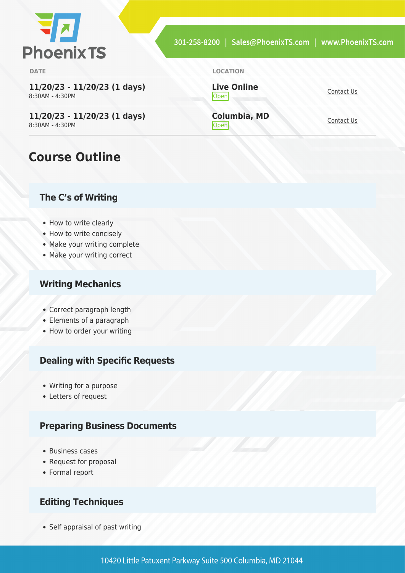

**11/20/23 - 11/20/23 (1 days)** 8:30AM - 4:30PM

**11/20/23 - 11/20/23 (1 days)** 8:30AM - 4:30PM

### **Course Outline**

#### **The C's of Writing**

- How to write clearly
- How to write concisely
- Make your writing complete
- Make your writing correct

#### **Writing Mechanics**

- Correct paragraph length
- Elements of a paragraph
- How to order your writing

#### **Dealing with Specific Requests**

- Writing for a purpose
- Letters of request

#### **Preparing Business Documents**

- Business cases
- Request for proposal
- Formal report

#### **Editing Techniques**

• Self appraisal of past writing

**Live Online** <u>[Contact Us](https://phoenixts.com/schedule/more-info/?class=26731)</u>

**Columbia, MD** Open [Contact Us](https://phoenixts.com/schedule/more-info/?class=26736)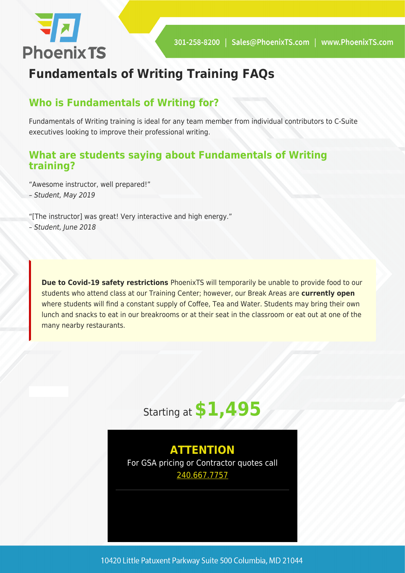

# **Fundamentals of Writing Training FAQs**

### **Who is Fundamentals of Writing for?**

Fundamentals of Writing training is ideal for any team member from individual contributors to C-Suite executives looking to improve their professional writing.

### **What are students saying about Fundamentals of Writing training?**

"Awesome instructor, well prepared!" – Student, May 2019

"[The instructor] was great! Very interactive and high energy."

– Student, June 2018

**Due to Covid-19 safety restrictions** PhoenixTS will temporarily be unable to provide food to our students who attend class at our Training Center; however, our Break Areas are **currently open** where students will find a constant supply of Coffee, Tea and Water. Students may bring their own lunch and snacks to eat in our breakrooms or at their seat in the classroom or eat out at one of the many nearby restaurants.



**ATTENTION** For GSA pricing or Contractor quotes call [240.667.7757](#page--1-0)